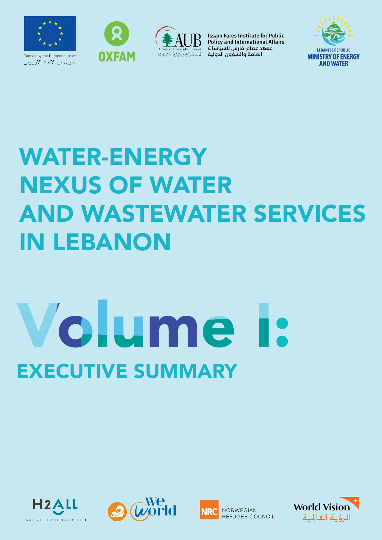

بتمويل من الاتحاد الأوروبي





**Issam Fares Institute for Public Policy and International Affairs** معهد عصام فارس للسياسات العامة والشؤون الدولية



## WATER-ENERGY NEXUS OF WATER AND WASTEWATER SERVICES IN LEBANON

# Volume EXECUTIVE SUMMARY







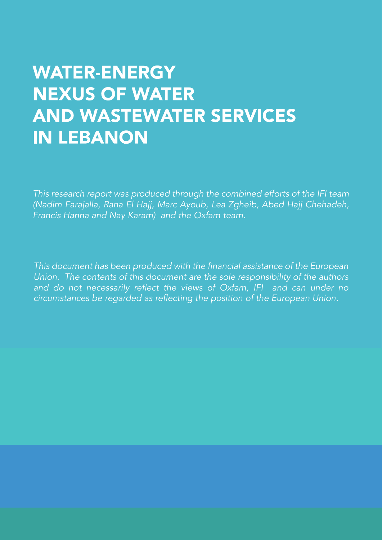#### **WATER-ENERGY NEXUS OF WATER AND WASTEWATER SERVICES IN LEBANON**

This research report was produced through the combined efforts of the IFI team (Nadim Farajalla, Rana El Hajj, Marc Ayoub, Lea Zgheib, Abed Hajj Chehadeh, Francis Hanna and Nay Karam) and the Oxfam team.

This document has been produced with the financial assistance of the European Union. The contents of this document are the sole responsibility of the authors and do not necessarily reflect the views of Oxfam, IFI and can under no circumstances be regarded as reflecting the position of the European Union.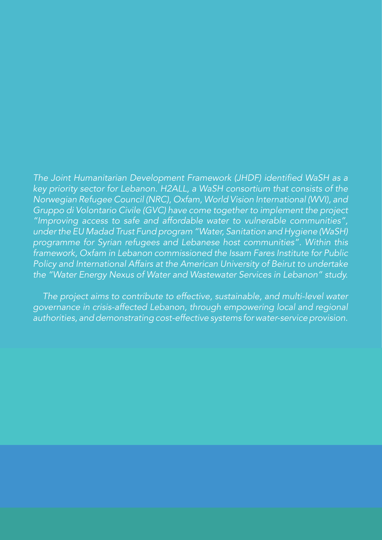The Joint Humanitarian Development Framework (JHDF) identified WaSH as a key priority sector for Lebanon. H2ALL, a WaSH consortium that consists of the Norwegian Refugee Council (NRC), Oxfam, World Vision International (WVI), and Gruppo di Volontario Civile (GVC) have come together to implement the project "Improving access to safe and affordable water to vulnerable communities", under the EU Madad Trust Fund program "Water, Sanitation and Hygiene (WaSH) programme for Syrian refugees and Lebanese host communities". Within this framework, Oxfam in Lebanon commissioned the Issam Fares Institute for Public Policy and International Affairs at the American University of Beirut to undertake the "Water Energy Nexus of Water and Wastewater Services in Lebanon" study.

 The project aims to contribute to effective, sustainable, and multi-level water governance in crisis-affected Lebanon, through empowering local and regional authorities, and demonstrating cost-effective systems for water-service provision.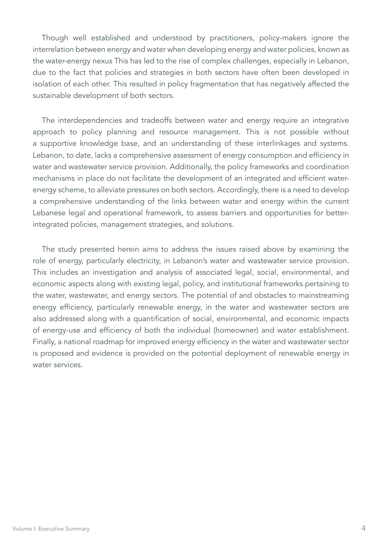Though well established and understood by practitioners, policy-makers ignore the interrelation between energy and water when developing energy and water policies, known as the water-energy nexus This has led to the rise of complex challenges, especially in Lebanon, due to the fact that policies and strategies in both sectors have often been developed in isolation of each other. This resulted in policy fragmentation that has negatively affected the sustainable development of both sectors.

The interdependencies and tradeoffs between water and energy require an integrative approach to policy planning and resource management. This is not possible without a supportive knowledge base, and an understanding of these interlinkages and systems. Lebanon, to date, lacks a comprehensive assessment of energy consumption and efficiency in water and wastewater service provision. Additionally, the policy frameworks and coordination mechanisms in place do not facilitate the development of an integrated and efficient waterenergy scheme, to alleviate pressures on both sectors. Accordingly, there is a need to develop a comprehensive understanding of the links between water and energy within the current Lebanese legal and operational framework, to assess barriers and opportunities for betterintegrated policies, management strategies, and solutions.

The study presented herein aims to address the issues raised above by examining the role of energy, particularly electricity, in Lebanon's water and wastewater service provision. This includes an investigation and analysis of associated legal, social, environmental, and economic aspects along with existing legal, policy, and institutional frameworks pertaining to the water, wastewater, and energy sectors. The potential of and obstacles to mainstreaming energy efficiency, particularly renewable energy, in the water and wastewater sectors are also addressed along with a quantification of social, environmental, and economic impacts of energy-use and efficiency of both the individual (homeowner) and water establishment. Finally, a national roadmap for improved energy efficiency in the water and wastewater sector is proposed and evidence is provided on the potential deployment of renewable energy in water services.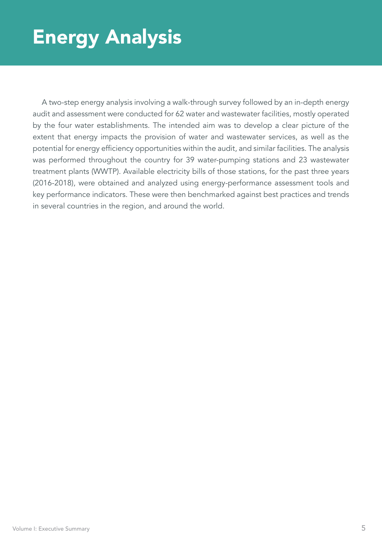## Energy Analysis

A two-step energy analysis involving a walk-through survey followed by an in-depth energy audit and assessment were conducted for 62 water and wastewater facilities, mostly operated by the four water establishments. The intended aim was to develop a clear picture of the extent that energy impacts the provision of water and wastewater services, as well as the potential for energy efficiency opportunities within the audit, and similar facilities. The analysis was performed throughout the country for 39 water-pumping stations and 23 wastewater treatment plants (WWTP). Available electricity bills of those stations, for the past three years (2016-2018), were obtained and analyzed using energy-performance assessment tools and key performance indicators. These were then benchmarked against best practices and trends in several countries in the region, and around the world.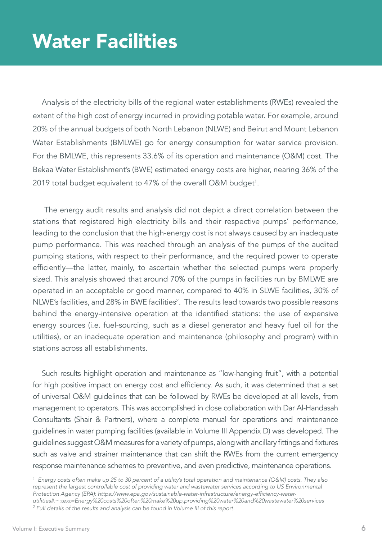### Water Facilities

Analysis of the electricity bills of the regional water establishments (RWEs) revealed the extent of the high cost of energy incurred in providing potable water. For example, around 20% of the annual budgets of both North Lebanon (NLWE) and Beirut and Mount Lebanon Water Establishments (BMLWE) go for energy consumption for water service provision. For the BMLWE, this represents 33.6% of its operation and maintenance (O&M) cost. The Bekaa Water Establishment's (BWE) estimated energy costs are higher, nearing 36% of the 2019 total budget equivalent to 47% of the overall O&M budget<sup>1</sup>.

The energy audit results and analysis did not depict a direct correlation between the stations that registered high electricity bills and their respective pumps' performance, leading to the conclusion that the high-energy cost is not always caused by an inadequate pump performance. This was reached through an analysis of the pumps of the audited pumping stations, with respect to their performance, and the required power to operate efficiently—the latter, mainly, to ascertain whether the selected pumps were properly sized. This analysis showed that around 70% of the pumps in facilities run by BMLWE are operated in an acceptable or good manner, compared to 40% in SLWE facilities, 30% of NLWE's facilities, and 28% in BWE facilities<sup>2</sup>. The results lead towards two possible reasons behind the energy-intensive operation at the identified stations: the use of expensive energy sources (i.e. fuel-sourcing, such as a diesel generator and heavy fuel oil for the utilities), or an inadequate operation and maintenance (philosophy and program) within stations across all establishments.

Such results highlight operation and maintenance as "low-hanging fruit", with a potential for high positive impact on energy cost and efficiency. As such, it was determined that a set of universal O&M guidelines that can be followed by RWEs be developed at all levels, from management to operators. This was accomplished in close collaboration with Dar Al-Handasah Consultants (Shair & Partners), where a complete manual for operations and maintenance guidelines in water pumping facilities (available in Volume III Appendix D) was developed. The guidelines suggest O&M measures for a variety of pumps, along with ancillary fittings and fixtures such as valve and strainer maintenance that can shift the RWEs from the current emergency response maintenance schemes to preventive, and even predictive, maintenance operations.

*1 Energy costs often make up 25 to 30 percent of a utility's total operation and maintenance (O&M) costs. They also*  represent the largest controllable cost of providing water and wastewater services according to US Environmental Protection Agency (EPA): https://www.epa.gov/sustainable-water-infrastructure/energy-efficiency-water*utilities#:~:text=Energy%20costs%20often%20make%20up,providing%20water%20and%20wastewater%20services* <sup>2</sup> Full details of the results and analysis can be found in Volume III of this report.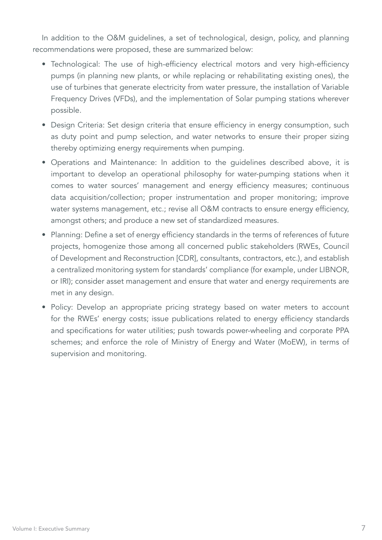In addition to the O&M guidelines, a set of technological, design, policy, and planning recommendations were proposed, these are summarized below:

- Technological: The use of high-efficiency electrical motors and very high-efficiency pumps (in planning new plants, or while replacing or rehabilitating existing ones), the use of turbines that generate electricity from water pressure, the installation of Variable Frequency Drives (VFDs), and the implementation of Solar pumping stations wherever possible.
- Design Criteria: Set design criteria that ensure efficiency in energy consumption, such as duty point and pump selection, and water networks to ensure their proper sizing thereby optimizing energy requirements when pumping.
- Operations and Maintenance: In addition to the guidelines described above, it is important to develop an operational philosophy for water-pumping stations when it comes to water sources' management and energy efficiency measures; continuous data acquisition/collection; proper instrumentation and proper monitoring; improve water systems management, etc.; revise all O&M contracts to ensure energy efficiency, amongst others; and produce a new set of standardized measures.
- Planning: Define a set of energy efficiency standards in the terms of references of future projects, homogenize those among all concerned public stakeholders (RWEs, Council of Development and Reconstruction [CDR], consultants, contractors, etc.), and establish a centralized monitoring system for standards' compliance (for example, under LIBNOR, or IRI); consider asset management and ensure that water and energy requirements are met in any design.
- Policy: Develop an appropriate pricing strategy based on water meters to account for the RWEs' energy costs; issue publications related to energy efficiency standards and specifications for water utilities; push towards power-wheeling and corporate PPA schemes; and enforce the role of Ministry of Energy and Water (MoEW), in terms of supervision and monitoring.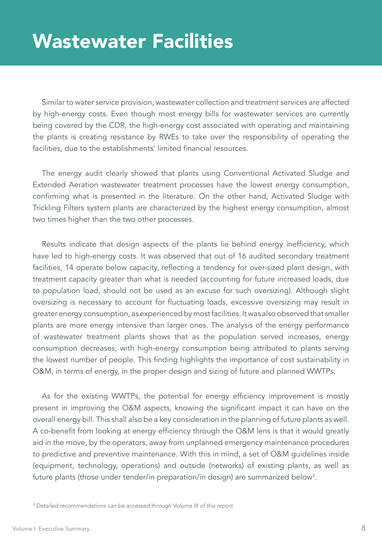#### Wastewater Facilities

Similar to water service provision, wastewater collection and treatment services are affected by high-energy costs. Even though most energy bills for wastewater services are currently being covered by the CDR, the high-energy cost associated with operating and maintaining the plants is creating resistance by RWEs to take over the responsibility of operating the facilities, due to the establishments' limited financial resources.

The energy audit clearly showed that plants using Conventional Activated Sludge and Extended Aeration wastewater treatment processes have the lowest energy consumption, confirming what is presented in the literature. On the other hand, Activated Sludge with Trickling Filters system plants are characterized by the highest energy consumption, almost two times higher than the two other processes.

Results indicate that design aspects of the plants lie behind energy inefficiency, which have led to high-energy costs. It was observed that out of 16 audited secondary treatment facilities, 14 operate below capacity, reflecting a tendency for over-sized plant design, with treatment capacity greater than what is needed (accounting for future increased loads, due to population load, should not be used as an excuse for such oversizing). Although slight oversizing is necessary to account for fluctuating loads, excessive oversizing may result in greater energy consumption, as experienced by most facilities. It was also observed that smaller plants are more energy intensive than larger ones. The analysis of the energy performance of wastewater treatment plants shows that as the population served increases, energy consumption decreases, with high-energy consumption being attributed to plants serving the lowest number of people. This finding highlights the importance of cost sustainability in O&M, in terms of energy, in the proper design and sizing of future and planned WWTPs.

As for the existing WWTPs, the potential for energy efficiency improvement is mostly present in improving the O&M aspects, knowing the significant impact it can have on the overall energy bill. This shall also be a key consideration in the planning of future plants as well. A co-benefit from looking at energy efficiency through the O&M lens is that it would greatly aid in the move, by the operators, away from unplanned emergency maintenance procedures to predictive and preventive maintenance. With this in mind, a set of O&M guidelines inside (equipment, technology, operations) and outside (networks) of existing plants, as well as future plants (those under tender/in preparation/in design) are summarized below<sup>3</sup>.

*<sup>3</sup> Detailed recommendations can be accessed through Volume III of this report.*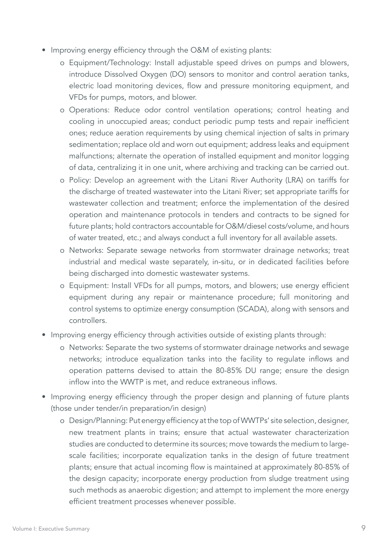- Improving energy efficiency through the O&M of existing plants:
	- o Equipment/Technology: Install adjustable speed drives on pumps and blowers, introduce Dissolved Oxygen (DO) sensors to monitor and control aeration tanks, electric load monitoring devices, flow and pressure monitoring equipment, and VFDs for pumps, motors, and blower.
	- o Operations: Reduce odor control ventilation operations; control heating and cooling in unoccupied areas; conduct periodic pump tests and repair inefficient ones; reduce aeration requirements by using chemical injection of salts in primary sedimentation; replace old and worn out equipment; address leaks and equipment malfunctions; alternate the operation of installed equipment and monitor logging of data, centralizing it in one unit, where archiving and tracking can be carried out.
	- o Policy: Develop an agreement with the Litani River Authority (LRA) on tariffs for the discharge of treated wastewater into the Litani River; set appropriate tariffs for wastewater collection and treatment; enforce the implementation of the desired operation and maintenance protocols in tenders and contracts to be signed for future plants; hold contractors accountable for O&M/diesel costs/volume, and hours of water treated, etc.; and always conduct a full inventory for all available assets.
	- o Networks: Separate sewage networks from stormwater drainage networks; treat industrial and medical waste separately, in-situ, or in dedicated facilities before being discharged into domestic wastewater systems.
	- o Equipment: Install VFDs for all pumps, motors, and blowers; use energy efficient equipment during any repair or maintenance procedure; full monitoring and control systems to optimize energy consumption (SCADA), along with sensors and controllers.
- Improving energy efficiency through activities outside of existing plants through:
	- o Networks: Separate the two systems of stormwater drainage networks and sewage networks; introduce equalization tanks into the facility to regulate inflows and operation patterns devised to attain the 80-85% DU range; ensure the design inflow into the WWTP is met, and reduce extraneous inflows.
- Improving energy efficiency through the proper design and planning of future plants (those under tender/in preparation/in design)
	- o Design/Planning: Put energy efficiency at the top of WWTPs' site selection, designer, new treatment plants in trains; ensure that actual wastewater characterization studies are conducted to determine its sources; move towards the medium to largescale facilities; incorporate equalization tanks in the design of future treatment plants; ensure that actual incoming flow is maintained at approximately 80-85% of the design capacity; incorporate energy production from sludge treatment using such methods as anaerobic digestion; and attempt to implement the more energy efficient treatment processes whenever possible.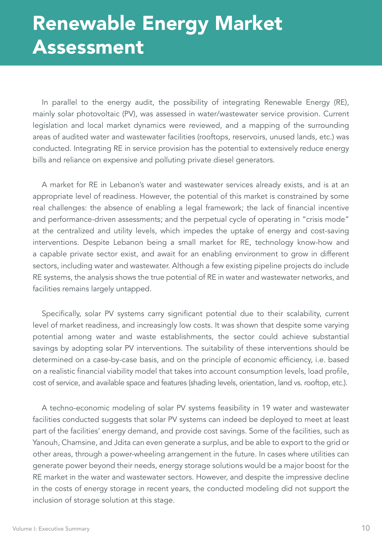## Renewable Energy Market Assessment

In parallel to the energy audit, the possibility of integrating Renewable Energy (RE), mainly solar photovoltaic (PV), was assessed in water/wastewater service provision. Current legislation and local market dynamics were reviewed, and a mapping of the surrounding areas of audited water and wastewater facilities (rooftops, reservoirs, unused lands, etc.) was conducted. Integrating RE in service provision has the potential to extensively reduce energy bills and reliance on expensive and polluting private diesel generators.

A market for RE in Lebanon's water and wastewater services already exists, and is at an appropriate level of readiness. However, the potential of this market is constrained by some real challenges: the absence of enabling a legal framework; the lack of financial incentive and performance-driven assessments; and the perpetual cycle of operating in "crisis mode" at the centralized and utility levels, which impedes the uptake of energy and cost-saving interventions. Despite Lebanon being a small market for RE, technology know-how and a capable private sector exist, and await for an enabling environment to grow in different sectors, including water and wastewater. Although a few existing pipeline projects do include RE systems, the analysis shows the true potential of RE in water and wastewater networks, and facilities remains largely untapped.

Specifically, solar PV systems carry significant potential due to their scalability, current level of market readiness, and increasingly low costs. It was shown that despite some varying potential among water and waste establishments, the sector could achieve substantial savings by adopting solar PV interventions. The suitability of these interventions should be determined on a case-by-case basis, and on the principle of economic efficiency, i.e. based on a realistic financial viability model that takes into account consumption levels, load profile, cost of service, and available space and features (shading levels, orientation, land vs. rooftop, etc.).

A techno-economic modeling of solar PV systems feasibility in 19 water and wastewater facilities conducted suggests that solar PV systems can indeed be deployed to meet at least part of the facilities' energy demand, and provide cost savings. Some of the facilities, such as Yanouh, Chamsine, and Jdita can even generate a surplus, and be able to export to the grid or other areas, through a power-wheeling arrangement in the future. In cases where utilities can generate power beyond their needs, energy storage solutions would be a major boost for the RE market in the water and wastewater sectors. However, and despite the impressive decline in the costs of energy storage in recent years, the conducted modeling did not support the inclusion of storage solution at this stage.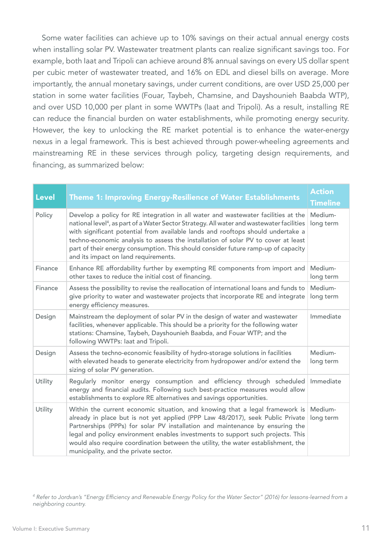Some water facilities can achieve up to 10% savings on their actual annual energy costs when installing solar PV. Wastewater treatment plants can realize significant savings too. For example, both Iaat and Tripoli can achieve around 8% annual savings on every US dollar spent per cubic meter of wastewater treated, and 16% on EDL and diesel bills on average. More importantly, the annual monetary savings, under current conditions, are over USD 25,000 per station in some water facilities (Fouar, Taybeh, Chamsine, and Dayshounieh Baabda WTP), and over USD 10,000 per plant in some WWTPs (Iaat and Tripoli). As a result, installing RE can reduce the financial burden on water establishments, while promoting energy security. However, the key to unlocking the RE market potential is to enhance the water-energy nexus in a legal framework. This is best achieved through power-wheeling agreements and mainstreaming RE in these services through policy, targeting design requirements, and financing, as summarized below:

| <b>Level</b> | <b>Theme 1: Improving Energy-Resilience of Water Establishments</b>                                                                                                                                                                                                                                                                                                                                                                                                                             | <b>Action</b><br><b>Timeline</b> |
|--------------|-------------------------------------------------------------------------------------------------------------------------------------------------------------------------------------------------------------------------------------------------------------------------------------------------------------------------------------------------------------------------------------------------------------------------------------------------------------------------------------------------|----------------------------------|
| Policy       | Develop a policy for RE integration in all water and wastewater facilities at the<br>national level <sup>4</sup> , as part of a Water Sector Strategy. All water and wastewater facilities<br>with significant potential from available lands and rooftops should undertake a<br>techno-economic analysis to assess the installation of solar PV to cover at least<br>part of their energy consumption. This should consider future ramp-up of capacity<br>and its impact on land requirements. | Medium-<br>long term             |
| Finance      | Enhance RE affordability further by exempting RE components from import and<br>other taxes to reduce the initial cost of financing.                                                                                                                                                                                                                                                                                                                                                             | Medium-<br>long term             |
| Finance      | Assess the possibility to revise the reallocation of international loans and funds to<br>give priority to water and wastewater projects that incorporate RE and integrate<br>energy efficiency measures.                                                                                                                                                                                                                                                                                        | Medium-<br>long term             |
| Design       | Mainstream the deployment of solar PV in the design of water and wastewater<br>facilities, whenever applicable. This should be a priority for the following water<br>stations: Chamsine, Taybeh, Dayshounieh Baabda, and Fouar WTP; and the<br>following WWTPs: laat and Tripoli.                                                                                                                                                                                                               | Immediate                        |
| Design       | Assess the techno-economic feasibility of hydro-storage solutions in facilities<br>with elevated heads to generate electricity from hydropower and/or extend the<br>sizing of solar PV generation.                                                                                                                                                                                                                                                                                              | Medium-<br>long term             |
| Utility      | Regularly monitor energy consumption and efficiency through scheduled<br>energy and financial audits. Following such best-practice measures would allow<br>establishments to explore RE alternatives and savings opportunities.                                                                                                                                                                                                                                                                 | Immediate                        |
| Utility      | Within the current economic situation, and knowing that a legal framework is<br>already in place but is not yet applied (PPP Law 48/2017), seek Public Private<br>Partnerships (PPPs) for solar PV installation and maintenance by ensuring the<br>legal and policy environment enables investments to support such projects. This<br>would also require coordination between the utility, the water establishment, the<br>municipality, and the private sector.                                | Medium-<br>long term             |

*4* Refer to Jordvan's "Energy Efficiency and Renewable Energy Policy for the Water Sector" (2016) for lessons-learned from a *neighboring country.*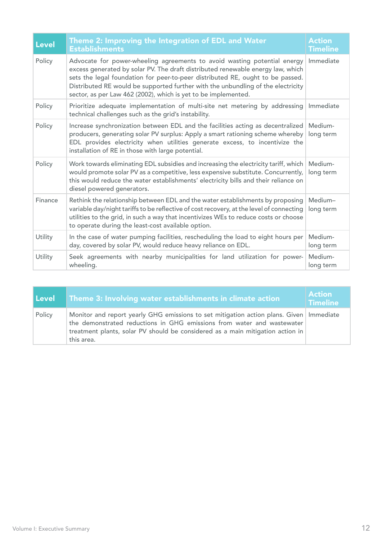| <b>Level</b>   | Theme 2: Improving the Integration of EDL and Water<br><b>Establishments</b>                                                                                                                                                                                                                                                                                                                        | <b>Action</b><br><b>Timeline</b> |
|----------------|-----------------------------------------------------------------------------------------------------------------------------------------------------------------------------------------------------------------------------------------------------------------------------------------------------------------------------------------------------------------------------------------------------|----------------------------------|
| Policy         | Advocate for power-wheeling agreements to avoid wasting potential energy<br>excess generated by solar PV. The draft distributed renewable energy law, which<br>sets the legal foundation for peer-to-peer distributed RE, ought to be passed.<br>Distributed RE would be supported further with the unbundling of the electricity<br>sector, as per Law 462 (2002), which is yet to be implemented. | Immediate                        |
| Policy         | Prioritize adequate implementation of multi-site net metering by addressing Immediate<br>technical challenges such as the grid's instability.                                                                                                                                                                                                                                                       |                                  |
| Policy         | Increase synchronization between EDL and the facilities acting as decentralized   Medium-<br>producers, generating solar PV surplus: Apply a smart rationing scheme whereby<br>EDL provides electricity when utilities generate excess, to incentivize the<br>installation of RE in those with large potential.                                                                                     | long term                        |
| Policy         | Work towards eliminating EDL subsidies and increasing the electricity tariff, which<br>would promote solar PV as a competitive, less expensive substitute. Concurrently,<br>this would reduce the water establishments' electricity bills and their reliance on<br>diesel powered generators.                                                                                                       | Medium-<br>long term             |
| <b>Finance</b> | Rethink the relationship between EDL and the water establishments by proposing<br>variable day/night tariffs to be reflective of cost recovery, at the level of connecting<br>utilities to the grid, in such a way that incentivizes WEs to reduce costs or choose<br>to operate during the least-cost available option.                                                                            | Medium-<br>long term             |
| Utility        | In the case of water pumping facilities, rescheduling the load to eight hours per<br>day, covered by solar PV, would reduce heavy reliance on EDL.                                                                                                                                                                                                                                                  | Medium-<br>long term             |
| Utility        | Seek agreements with nearby municipalities for land utilization for power-<br>wheeling.                                                                                                                                                                                                                                                                                                             | Medium-<br>long term             |

| l Level | Theme 3: Involving water establishments in climate action                                                                                                                                                                                                           | <b>Action</b><br><b>Timeline</b> |
|---------|---------------------------------------------------------------------------------------------------------------------------------------------------------------------------------------------------------------------------------------------------------------------|----------------------------------|
| Policy  | Monitor and report yearly GHG emissions to set mitigation action plans. Given   Immediate<br>the demonstrated reductions in GHG emissions from water and wastewater<br>treatment plants, solar PV should be considered as a main mitigation action in<br>this area. |                                  |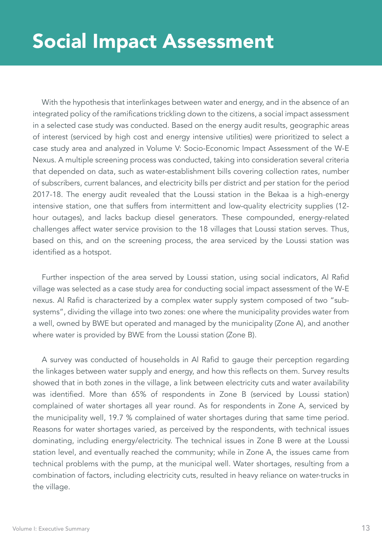#### Social Impact Assessment

With the hypothesis that interlinkages between water and energy, and in the absence of an integrated policy of the ramifications trickling down to the citizens, a social impact assessment in a selected case study was conducted. Based on the energy audit results, geographic areas of interest (serviced by high cost and energy intensive utilities) were prioritized to select a case study area and analyzed in Volume V: Socio-Economic Impact Assessment of the W-E Nexus. A multiple screening process was conducted, taking into consideration several criteria that depended on data, such as water-establishment bills covering collection rates, number of subscribers, current balances, and electricity bills per district and per station for the period 2017-18. The energy audit revealed that the Loussi station in the Bekaa is a high-energy intensive station, one that suffers from intermittent and low-quality electricity supplies (12 hour outages), and lacks backup diesel generators. These compounded, energy-related challenges affect water service provision to the 18 villages that Loussi station serves. Thus, based on this, and on the screening process, the area serviced by the Loussi station was identified as a hotspot.

Further inspection of the area served by Loussi station, using social indicators, Al Rafid village was selected as a case study area for conducting social impact assessment of the W-E nexus. Al Rafid is characterized by a complex water supply system composed of two "subsystems", dividing the village into two zones: one where the municipality provides water from a well, owned by BWE but operated and managed by the municipality (Zone A), and another where water is provided by BWE from the Loussi station (Zone B).

A survey was conducted of households in Al Rafid to gauge their perception regarding the linkages between water supply and energy, and how this reflects on them. Survey results showed that in both zones in the village, a link between electricity cuts and water availability was identified. More than 65% of respondents in Zone B (serviced by Loussi station) complained of water shortages all year round. As for respondents in Zone A, serviced by the municipality well, 19.7 % complained of water shortages during that same time period. Reasons for water shortages varied, as perceived by the respondents, with technical issues dominating, including energy/electricity. The technical issues in Zone B were at the Loussi station level, and eventually reached the community; while in Zone A, the issues came from technical problems with the pump, at the municipal well. Water shortages, resulting from a combination of factors, including electricity cuts, resulted in heavy reliance on water-trucks in the village.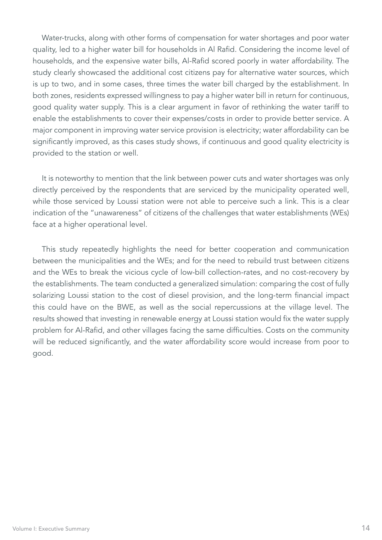Water-trucks, along with other forms of compensation for water shortages and poor water quality, led to a higher water bill for households in Al Rafid. Considering the income level of households, and the expensive water bills, Al-Rafid scored poorly in water affordability. The study clearly showcased the additional cost citizens pay for alternative water sources, which is up to two, and in some cases, three times the water bill charged by the establishment. In both zones, residents expressed willingness to pay a higher water bill in return for continuous, good quality water supply. This is a clear argument in favor of rethinking the water tariff to enable the establishments to cover their expenses/costs in order to provide better service. A major component in improving water service provision is electricity; water affordability can be significantly improved, as this cases study shows, if continuous and good quality electricity is provided to the station or well.

It is noteworthy to mention that the link between power cuts and water shortages was only directly perceived by the respondents that are serviced by the municipality operated well, while those serviced by Loussi station were not able to perceive such a link. This is a clear indication of the "unawareness" of citizens of the challenges that water establishments (WEs) face at a higher operational level.

This study repeatedly highlights the need for better cooperation and communication between the municipalities and the WEs; and for the need to rebuild trust between citizens and the WEs to break the vicious cycle of low-bill collection-rates, and no cost-recovery by the establishments. The team conducted a generalized simulation: comparing the cost of fully solarizing Loussi station to the cost of diesel provision, and the long-term financial impact this could have on the BWE, as well as the social repercussions at the village level. The results showed that investing in renewable energy at Loussi station would fix the water supply problem for Al-Rafid, and other villages facing the same difficulties. Costs on the community will be reduced significantly, and the water affordability score would increase from poor to good.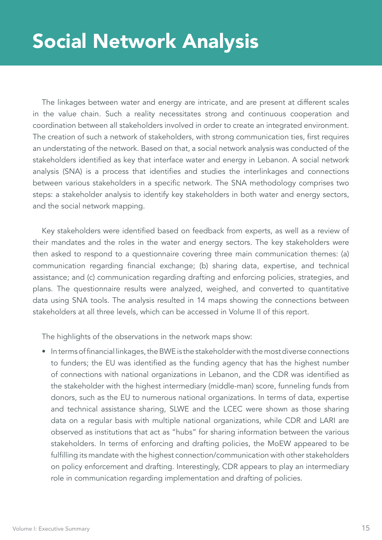The linkages between water and energy are intricate, and are present at different scales in the value chain. Such a reality necessitates strong and continuous cooperation and coordination between all stakeholders involved in order to create an integrated environment. The creation of such a network of stakeholders, with strong communication ties, first requires an understating of the network. Based on that, a social network analysis was conducted of the stakeholders identified as key that interface water and energy in Lebanon. A social network analysis (SNA) is a process that identifies and studies the interlinkages and connections between various stakeholders in a specific network. The SNA methodology comprises two steps: a stakeholder analysis to identify key stakeholders in both water and energy sectors, and the social network mapping.

Key stakeholders were identified based on feedback from experts, as well as a review of their mandates and the roles in the water and energy sectors. The key stakeholders were then asked to respond to a questionnaire covering three main communication themes: (a) communication regarding financial exchange; (b) sharing data, expertise, and technical assistance; and (c) communication regarding drafting and enforcing policies, strategies, and plans. The questionnaire results were analyzed, weighed, and converted to quantitative data using SNA tools. The analysis resulted in 14 maps showing the connections between stakeholders at all three levels, which can be accessed in Volume II of this report.

The highlights of the observations in the network maps show:

• In terms of financial linkages, the BWE is the stakeholder with the most diverse connections to funders; the EU was identified as the funding agency that has the highest number of connections with national organizations in Lebanon, and the CDR was identified as the stakeholder with the highest intermediary (middle-man) score, funneling funds from donors, such as the EU to numerous national organizations. In terms of data, expertise and technical assistance sharing, SLWE and the LCEC were shown as those sharing data on a regular basis with multiple national organizations, while CDR and LARI are observed as institutions that act as "hubs" for sharing information between the various stakeholders. In terms of enforcing and drafting policies, the MoEW appeared to be fulfilling its mandate with the highest connection/communication with other stakeholders on policy enforcement and drafting. Interestingly, CDR appears to play an intermediary role in communication regarding implementation and drafting of policies.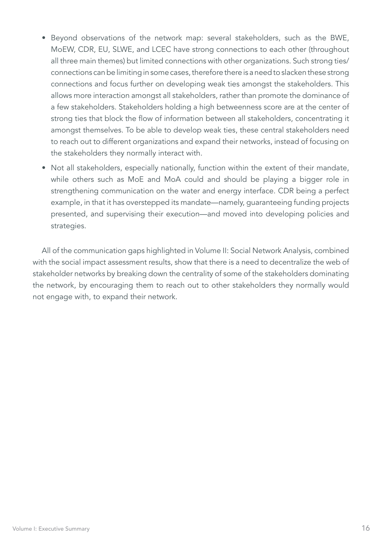- Beyond observations of the network map: several stakeholders, such as the BWE, MoEW, CDR, EU, SLWE, and LCEC have strong connections to each other (throughout all three main themes) but limited connections with other organizations. Such strong ties/ connections can be limiting in some cases, therefore there is a need to slacken these strong connections and focus further on developing weak ties amongst the stakeholders. This allows more interaction amongst all stakeholders, rather than promote the dominance of a few stakeholders. Stakeholders holding a high betweenness score are at the center of strong ties that block the flow of information between all stakeholders, concentrating it amongst themselves. To be able to develop weak ties, these central stakeholders need to reach out to different organizations and expand their networks, instead of focusing on the stakeholders they normally interact with.
- Not all stakeholders, especially nationally, function within the extent of their mandate, while others such as MoE and MoA could and should be playing a bigger role in strengthening communication on the water and energy interface. CDR being a perfect example, in that it has overstepped its mandate—namely, guaranteeing funding projects presented, and supervising their execution—and moved into developing policies and strategies.

All of the communication gaps highlighted in Volume II: Social Network Analysis, combined with the social impact assessment results, show that there is a need to decentralize the web of stakeholder networks by breaking down the centrality of some of the stakeholders dominating the network, by encouraging them to reach out to other stakeholders they normally would not engage with, to expand their network.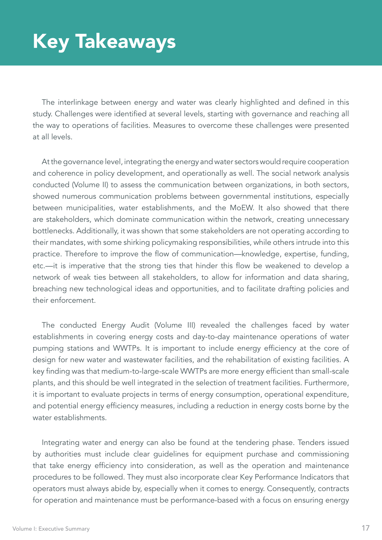## Key Takeaways

The interlinkage between energy and water was clearly highlighted and defined in this study. Challenges were identified at several levels, starting with governance and reaching all the way to operations of facilities. Measures to overcome these challenges were presented at all levels.

At the governance level, integrating the energy and water sectors would require cooperation and coherence in policy development, and operationally as well. The social network analysis conducted (Volume II) to assess the communication between organizations, in both sectors, showed numerous communication problems between governmental institutions, especially between municipalities, water establishments, and the MoEW. It also showed that there are stakeholders, which dominate communication within the network, creating unnecessary bottlenecks. Additionally, it was shown that some stakeholders are not operating according to their mandates, with some shirking policymaking responsibilities, while others intrude into this practice. Therefore to improve the flow of communication—knowledge, expertise, funding, etc.—it is imperative that the strong ties that hinder this flow be weakened to develop a network of weak ties between all stakeholders, to allow for information and data sharing, breaching new technological ideas and opportunities, and to facilitate drafting policies and their enforcement.

The conducted Energy Audit (Volume III) revealed the challenges faced by water establishments in covering energy costs and day-to-day maintenance operations of water pumping stations and WWTPs. It is important to include energy efficiency at the core of design for new water and wastewater facilities, and the rehabilitation of existing facilities. A key finding was that medium-to-large-scale WWTPs are more energy efficient than small-scale plants, and this should be well integrated in the selection of treatment facilities. Furthermore, it is important to evaluate projects in terms of energy consumption, operational expenditure, and potential energy efficiency measures, including a reduction in energy costs borne by the water establishments.

Integrating water and energy can also be found at the tendering phase. Tenders issued by authorities must include clear guidelines for equipment purchase and commissioning that take energy efficiency into consideration, as well as the operation and maintenance procedures to be followed. They must also incorporate clear Key Performance Indicators that operators must always abide by, especially when it comes to energy. Consequently, contracts for operation and maintenance must be performance-based with a focus on ensuring energy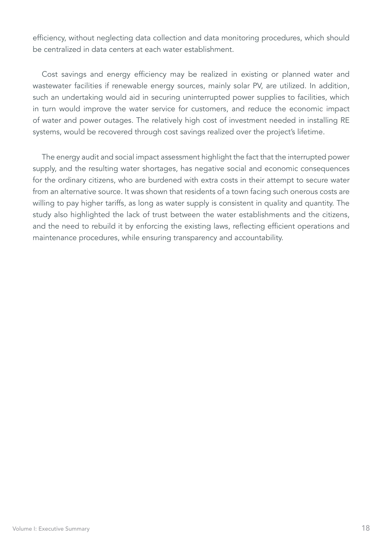efficiency, without neglecting data collection and data monitoring procedures, which should be centralized in data centers at each water establishment.

Cost savings and energy efficiency may be realized in existing or planned water and wastewater facilities if renewable energy sources, mainly solar PV, are utilized. In addition, such an undertaking would aid in securing uninterrupted power supplies to facilities, which in turn would improve the water service for customers, and reduce the economic impact of water and power outages. The relatively high cost of investment needed in installing RE systems, would be recovered through cost savings realized over the project's lifetime.

The energy audit and social impact assessment highlight the fact that the interrupted power supply, and the resulting water shortages, has negative social and economic consequences for the ordinary citizens, who are burdened with extra costs in their attempt to secure water from an alternative source. It was shown that residents of a town facing such onerous costs are willing to pay higher tariffs, as long as water supply is consistent in quality and quantity. The study also highlighted the lack of trust between the water establishments and the citizens, and the need to rebuild it by enforcing the existing laws, reflecting efficient operations and maintenance procedures, while ensuring transparency and accountability.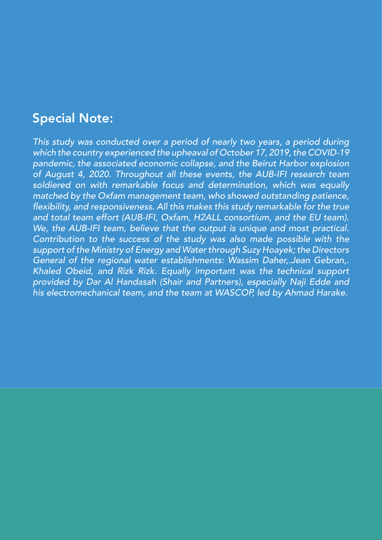#### Special Note:

*This study was conducted over a period of nearly two years, a period during which the country experienced the upheaval of October 17, 2019, the COVID-19 pandemic, the associated economic collapse, and the Beirut Harbor explosion of August 4, 2020. Throughout all these events, the AUB-IFI research team soldiered on with remarkable focus and determination, which was equally matched by the Oxfam management team, who showed outstanding patience,*  flexibility, and responsiveness. All this makes this study remarkable for the true and total team effort (AUB-IFI, Oxfam, H2ALL consortium, and the EU team). We, the AUB-IFI team, believe that the output is unique and most practical. *Contribution to the success of the study was also made possible with the support of the Ministry of Energy and Water through Suzy Hoayek; the Directors General of the regional water establishments: Wassim Daher,.Jean Gebran,. Khaled Obeid, and Rizk Rizk. Equally important was the technical support provided by Dar Al Handasah (Shair and Partners), especially Naji Edde and his electromechanical team, and the team at WASCOP, led by Ahmad Harake.*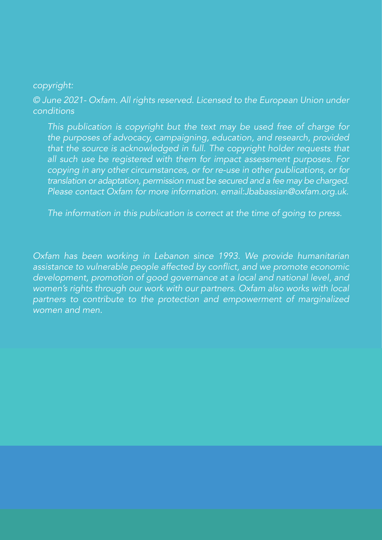#### copyright:

© June 2021- Oxfam. All rights reserved. Licensed to the European Union under *conditions*

This publication is copyright but the text may be used free of charge for the purposes of advocacy, campaigning, education, and research, provided that the source is acknowledged in full. The copyright holder requests that all such use be registered with them for impact assessment purposes. For copying in any other circumstances, or for re-use in other publications, or for translation or adaptation, permission must be secured and a fee may be charged. Please contact Oxfam for more information. email:Jbabassian@oxfam.org.uk.

The information in this publication is correct at the time of going to press.

Oxfam has been working in Lebanon since 1993. We provide humanitarian assistance to vulnerable people affected by conflict, and we promote economic development, promotion of good governance at a local and national level, and women's rights through our work with our partners. Oxfam also works with local partners to contribute to the protection and empowerment of marginalized *women and men.*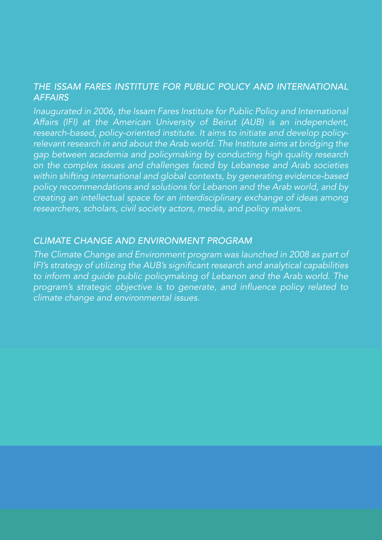#### *THE ISSAM FARES INSTITUTE FOR PUBLIC POLICY AND INTERNATIONAL AFFAIRS*

Inaugurated in 2006, the Issam Fares Institute for Public Policy and International Affairs (IFI) at the American University of Beirut (AUB) is an independent, research-based, policy-oriented institute. It aims to initiate and develop policyrelevant research in and about the Arab world. The Institute aims at bridging the gap between academia and policymaking by conducting high quality research on the complex issues and challenges faced by Lebanese and Arab societies within shifting international and global contexts, by generating evidence-based policy recommendations and solutions for Lebanon and the Arab world, and by creating an intellectual space for an interdisciplinary exchange of ideas among researchers, scholars, civil society actors, media, and policy makers.

#### *CLIMATE CHANGE AND ENVIRONMENT PROGRAM*

The Climate Change and Environment program was launched in 2008 as part of IFI's strategy of utilizing the AUB's significant research and analytical capabilities to inform and guide public policymaking of Lebanon and the Arab world. The program's strategic objective is to generate, and influence policy related to climate change and environmental issues.